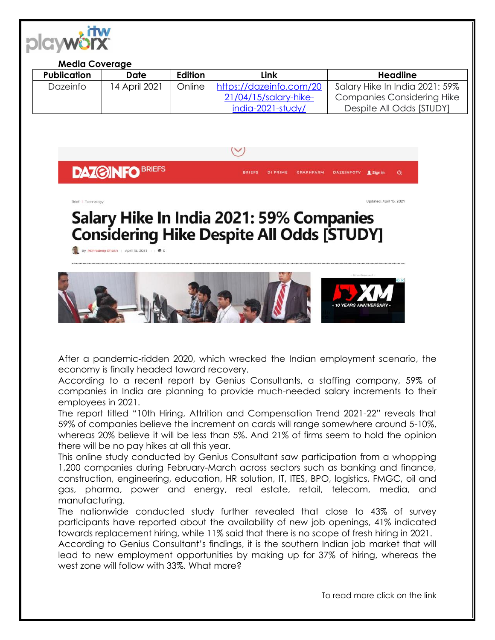

## **Media Coverage**

| <b>Publication</b> | Date          | Edition | Link                    | Headline                       |
|--------------------|---------------|---------|-------------------------|--------------------------------|
| Dazeinfo           | 14 April 2021 | Online  | https://dazeinfo.com/20 | Salary Hike In India 2021: 59% |
|                    |               |         | 21/04/15/salary-hike-   | Companies Considering Hike     |
|                    |               |         | india-2021-study/       | Despite All Odds [STUDY]       |

**DAZ@INFO BRIEFS** 

**DI PRIME GRAPHFARM** 

Updated: April 15, 2021

**DAZEINFOTV** 

## Salary Hike In India 2021: 59% Companies **Considering Hike Despite All Odds [STUDY]**

By Abhradeep Ghosh | April 15, 2021 | | @ 0



After a pandemic-ridden 2020, which wrecked the Indian employment scenario, the economy is finally headed toward recovery.

According to a recent report by Genius Consultants, a staffing company, 59% of companies in India are planning to provide much-needed salary increments to their employees in 2021.

The report titled "10th Hiring, Attrition and Compensation Trend 2021-22" reveals that 59% of companies believe the increment on cards will range somewhere around 5-10%, whereas 20% believe it will be less than 5%. And 21% of firms seem to hold the opinion there will be no pay hikes at all this year.

This online study conducted by Genius Consultant saw participation from a whopping 1,200 companies during February-March across sectors such as banking and finance, construction, engineering, education, HR solution, IT, ITES, BPO, logistics, FMGC, oil and gas, pharma, power and energy, real estate, retail, telecom, media, and manufacturing.

The nationwide conducted study further revealed that close to 43% of survey participants have reported about the availability of new job openings, 41% indicated towards replacement hiring, while 11% said that there is no scope of fresh hiring in 2021.

According to Genius Consultant's findings, it is the southern Indian job market that will lead to new employment opportunities by making up for 37% of hiring, whereas the west zone will follow with 33%. What more?

To read more click on the link